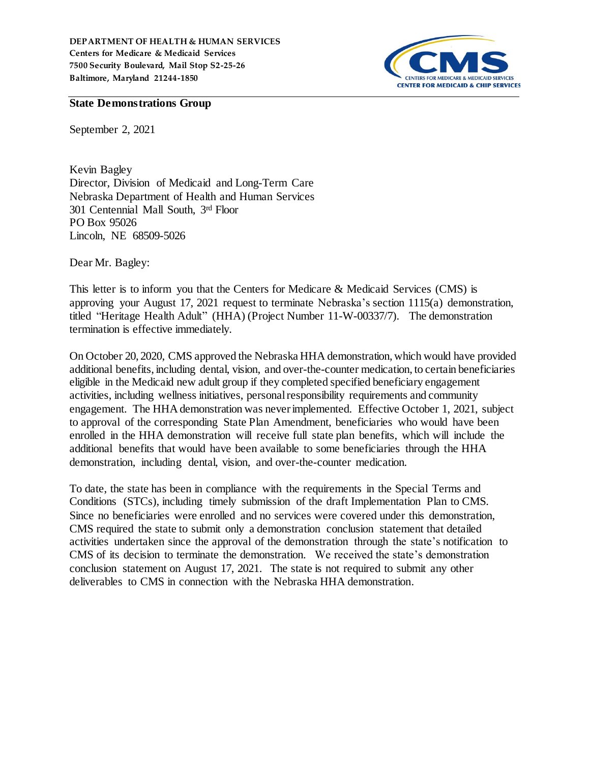

## **State Demonstrations Group**

September 2, 2021

Kevin Bagley Director, Division of Medicaid and Long-Term Care Nebraska Department of Health and Human Services 301 Centennial Mall South, 3rd Floor PO Box 95026 Lincoln, NE 68509-5026

Dear Mr. Bagley:

This letter is to inform you that the Centers for Medicare & Medicaid Services (CMS) is approving your August 17, 2021 request to terminate Nebraska's section 1115(a) demonstration, titled "Heritage Health Adult" (HHA) (Project Number 11-W-00337/7). The demonstration termination is effective immediately.

On October 20, 2020, CMS approved the Nebraska HHA demonstration, which would have provided additional benefits, including dental, vision, and over-the-counter medication, to certain beneficiaries eligible in the Medicaid new adult group if they completed specified beneficiary engagement activities, including wellness initiatives, personal responsibility requirements and community engagement. The HHA demonstration was never implemented. Effective October 1, 2021, subject to approval of the corresponding State Plan Amendment, beneficiaries who would have been enrolled in the HHA demonstration will receive full state plan benefits, which will include the additional benefits that would have been available to some beneficiaries through the HHA demonstration, including dental, vision, and over-the-counter medication.

To date, the state has been in compliance with the requirements in the Special Terms and Conditions (STCs), including timely submission of the draft Implementation Plan to CMS. Since no beneficiaries were enrolled and no services were covered under this demonstration, CMS required the state to submit only a demonstration conclusion statement that detailed activities undertaken since the approval of the demonstration through the state's notification to CMS of its decision to terminate the demonstration. We received the state's demonstration conclusion statement on August 17, 2021. The state is not required to submit any other deliverables to CMS in connection with the Nebraska HHA demonstration.